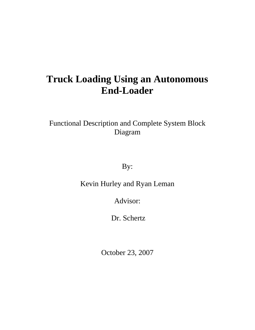# **Truck Loading Using an Autonomous End-Loader**

Functional Description and Complete System Block Diagram

By:

Kevin Hurley and Ryan Leman

Advisor:

Dr. Schertz

October 23, 2007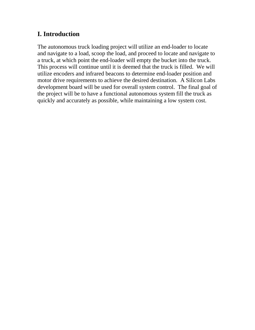### **I. Introduction**

The autonomous truck loading project will utilize an end-loader to locate and navigate to a load, scoop the load, and proceed to locate and navigate to a truck, at which point the end-loader will empty the bucket into the truck. This process will continue until it is deemed that the truck is filled. We will utilize encoders and infrared beacons to determine end-loader position and motor drive requirements to achieve the desired destination. A Silicon Labs development board will be used for overall system control. The final goal of the project will be to have a functional autonomous system fill the truck as quickly and accurately as possible, while maintaining a low system cost.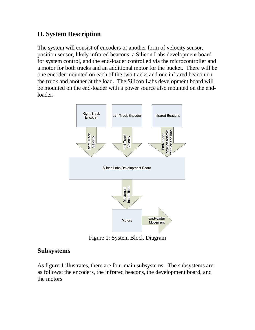### **II. System Description**

The system will consist of encoders or another form of velocity sensor, position sensor, likely infrared beacons, a Silicon Labs development board for system control, and the end-loader controlled via the microcontroller and a motor for both tracks and an additional motor for the bucket. There will be one encoder mounted on each of the two tracks and one infrared beacon on the truck and another at the load. The Silicon Labs development board will be mounted on the end-loader with a power source also mounted on the endloader.



Figure 1: System Block Diagram

#### **Subsystems**

As figure 1 illustrates, there are four main subsystems. The subsystems are as follows: the encoders, the infrared beacons, the development board, and the motors.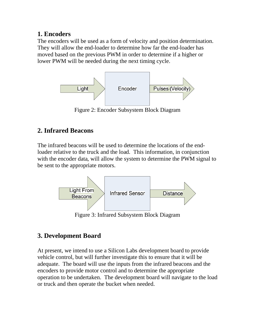### **1. Encoders**

The encoders will be used as a form of velocity and position determination. They will allow the end-loader to determine how far the end-loader has moved based on the previous PWM in order to determine if a higher or lower PWM will be needed during the next timing cycle.



Figure 2: Encoder Subsystem Block Diagram

### **2. Infrared Beacons**

The infrared beacons will be used to determine the locations of the endloader relative to the truck and the load. This information, in conjunction with the encoder data, will allow the system to determine the PWM signal to be sent to the appropriate motors.



Figure 3: Infrared Subsystem Block Diagram

## **3. Development Board**

At present, we intend to use a Silicon Labs development board to provide vehicle control, but will further investigate this to ensure that it will be adequate. The board will use the inputs from the infrared beacons and the encoders to provide motor control and to determine the appropriate operation to be undertaken. The development board will navigate to the load or truck and then operate the bucket when needed.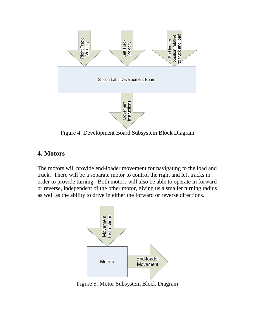

Figure 4: Development Board Subsystem Block Diagram

### **4. Motors**

The motors will provide end-loader movement for navigating to the load and truck. There will be a separate motor to control the right and left tracks in order to provide turning. Both motors will also be able to operate in forward or reverse, independent of the other motor, giving us a smaller turning radius as well as the ability to drive in either the forward or reverse directions.



Figure 5: Motor Subsystem Block Diagram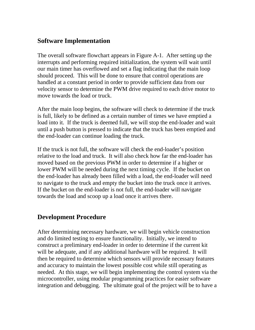### **Software Implementation**

The overall software flowchart appears in Figure A-1. After setting up the interrupts and performing required initialization, the system will wait until our main timer has overflowed and set a flag indicating that the main loop should proceed. This will be done to ensure that control operations are handled at a constant period in order to provide sufficient data from our velocity sensor to determine the PWM drive required to each drive motor to move towards the load or truck.

After the main loop begins, the software will check to determine if the truck is full, likely to be defined as a certain number of times we have emptied a load into it. If the truck is deemed full, we will stop the end-loader and wait until a push button is pressed to indicate that the truck has been emptied and the end-loader can continue loading the truck.

If the truck is not full, the software will check the end-loader's position relative to the load and truck. It will also check how far the end-loader has moved based on the previous PWM in order to determine if a higher or lower PWM will be needed during the next timing cycle. If the bucket on the end-loader has already been filled with a load, the end-loader will need to navigate to the truck and empty the bucket into the truck once it arrives. If the bucket on the end-loader is not full, the end-loader will navigate towards the load and scoop up a load once it arrives there.

#### **Development Procedure**

After determining necessary hardware, we will begin vehicle construction and do limited testing to ensure functionality. Initially, we intend to construct a preliminary end-loader in order to determine if the current kit will be adequate, and if any additional hardware will be required. It will then be required to determine which sensors will provide necessary features and accuracy to maintain the lowest possible cost while still operating as needed. At this stage, we will begin implementing the control system via the microcontroller, using modular programming practices for easier software integration and debugging. The ultimate goal of the project will be to have a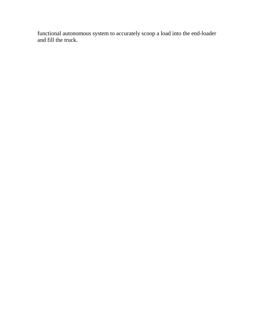functional autonomous system to accurately scoop a load into the end-loader and fill the truck.